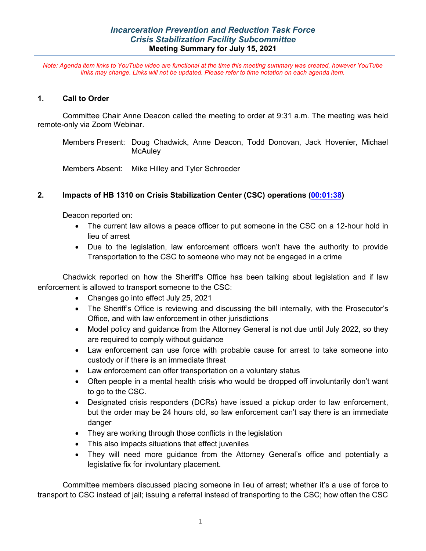*Note: Agenda item links to YouTube video are functional at the time this meeting summary was created, however YouTube links may change. Links will not be updated. Please refer to time notation on each agenda item.*

#### **1. Call to Order**

Committee Chair Anne Deacon called the meeting to order at 9:31 a.m. The meeting was held remote-only via Zoom Webinar.

Members Present: Doug Chadwick, Anne Deacon, Todd Donovan, Jack Hovenier, Michael **McAuley** 

Members Absent: Mike Hilley and Tyler Schroeder

### **2. Impacts of HB 1310 on Crisis Stabilization Center (CSC) operations [\(00:01:38\)](https://youtu.be/R2g5yLDs-SU?list=PL8OuJOt5jT9qfmpjQ562L2KL685E3KxC2&t=97)**

Deacon reported on:

- The current law allows a peace officer to put someone in the CSC on a 12-hour hold in lieu of arrest
- Due to the legislation, law enforcement officers won't have the authority to provide Transportation to the CSC to someone who may not be engaged in a crime

Chadwick reported on how the Sheriff's Office has been talking about legislation and if law enforcement is allowed to transport someone to the CSC:

- Changes go into effect July 25, 2021
- The Sheriff's Office is reviewing and discussing the bill internally, with the Prosecutor's Office, and with law enforcement in other jurisdictions
- Model policy and guidance from the Attorney General is not due until July 2022, so they are required to comply without guidance
- Law enforcement can use force with probable cause for arrest to take someone into custody or if there is an immediate threat
- Law enforcement can offer transportation on a voluntary status
- Often people in a mental health crisis who would be dropped off involuntarily don't want to go to the CSC.
- Designated crisis responders (DCRs) have issued a pickup order to law enforcement, but the order may be 24 hours old, so law enforcement can't say there is an immediate danger
- They are working through those conflicts in the legislation
- This also impacts situations that effect juveniles
- They will need more guidance from the Attorney General's office and potentially a legislative fix for involuntary placement.

Committee members discussed placing someone in lieu of arrest; whether it's a use of force to transport to CSC instead of jail; issuing a referral instead of transporting to the CSC; how often the CSC